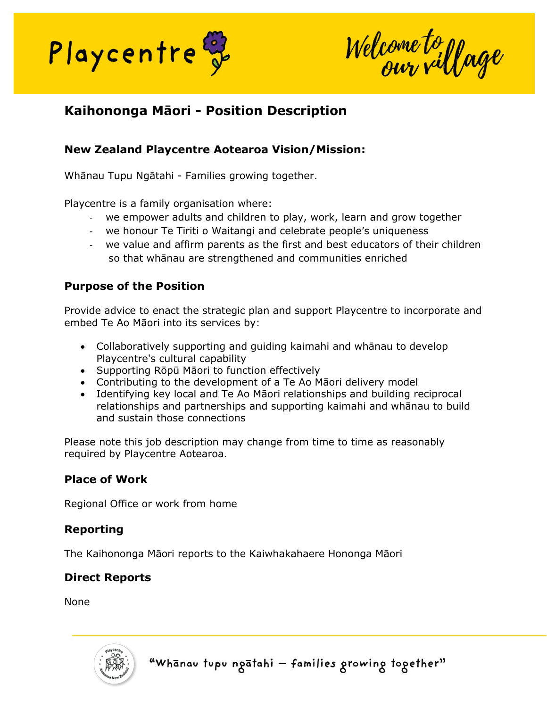

Welcome to youge

# **Kaihononga Māori - Position Description**

### **New Zealand Playcentre Aotearoa Vision/Mission:**

Whānau Tupu Ngātahi - Families growing together.

Playcentre is a family organisation where:

- we empower adults and children to play, work, learn and grow together
- we honour Te Tiriti o Waitangi and celebrate people's uniqueness
- we value and affirm parents as the first and best educators of their children so that whānau are strengthened and communities enriched

#### **Purpose of the Position**

Provide advice to enact the strategic plan and support Playcentre to incorporate and embed Te Ao Māori into its services by:

- Collaboratively supporting and guiding kaimahi and whānau to develop Playcentre's cultural capability
- Supporting Rōpū Māori to function effectively
- Contributing to the development of a Te Ao Māori delivery model
- Identifying key local and Te Ao Māori relationships and building reciprocal relationships and partnerships and supporting kaimahi and whānau to build and sustain those connections

Please note this job description may change from time to time as reasonably required by Playcentre Aotearoa.

#### **Place of Work**

Regional Office or work from home

#### **Reporting**

The Kaihononga Māori reports to the Kaiwhakahaere Hononga Māori

#### **Direct Reports**

None

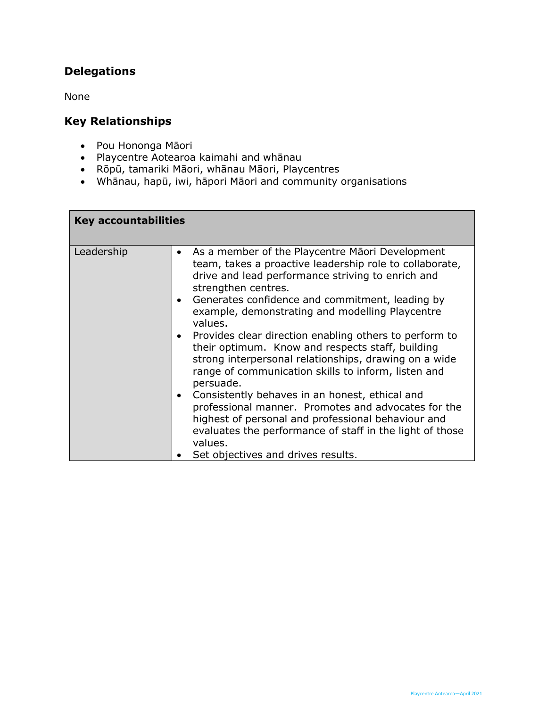# **Delegations**

None

## **Key Relationships**

- Pou Hononga Māori
- Playcentre Aotearoa kaimahi and whānau
- Rōpū, tamariki Māori, whānau Māori, Playcentres
- Whānau, hapū, iwi, hāpori Māori and community organisations

| <b>Key accountabilities</b> |                                                                                                                                                                                                                                                                                                                                                                                                                                                                                                                                                                                                                                                                                                                                                                                                                                                                                    |  |
|-----------------------------|------------------------------------------------------------------------------------------------------------------------------------------------------------------------------------------------------------------------------------------------------------------------------------------------------------------------------------------------------------------------------------------------------------------------------------------------------------------------------------------------------------------------------------------------------------------------------------------------------------------------------------------------------------------------------------------------------------------------------------------------------------------------------------------------------------------------------------------------------------------------------------|--|
| Leadership                  | As a member of the Playcentre Maori Development<br>$\bullet$<br>team, takes a proactive leadership role to collaborate,<br>drive and lead performance striving to enrich and<br>strengthen centres.<br>Generates confidence and commitment, leading by<br>$\bullet$<br>example, demonstrating and modelling Playcentre<br>values.<br>Provides clear direction enabling others to perform to<br>$\bullet$<br>their optimum. Know and respects staff, building<br>strong interpersonal relationships, drawing on a wide<br>range of communication skills to inform, listen and<br>persuade.<br>Consistently behaves in an honest, ethical and<br>$\bullet$<br>professional manner. Promotes and advocates for the<br>highest of personal and professional behaviour and<br>evaluates the performance of staff in the light of those<br>values.<br>Set objectives and drives results. |  |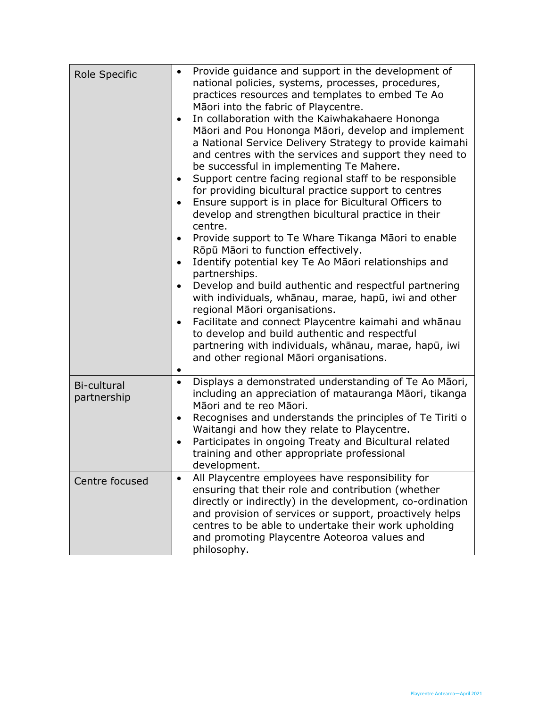| Role Specific              | Provide guidance and support in the development of<br>$\bullet$<br>national policies, systems, processes, procedures,<br>practices resources and templates to embed Te Ao<br>Māori into the fabric of Playcentre.<br>In collaboration with the Kaiwhakahaere Hononga<br>Māori and Pou Hononga Māori, develop and implement<br>a National Service Delivery Strategy to provide kaimahi<br>and centres with the services and support they need to<br>be successful in implementing Te Mahere.<br>Support centre facing regional staff to be responsible<br>for providing bicultural practice support to centres<br>Ensure support is in place for Bicultural Officers to<br>$\bullet$<br>develop and strengthen bicultural practice in their<br>centre.<br>Provide support to Te Whare Tikanga Māori to enable<br>Rōpū Māori to function effectively.<br>Identify potential key Te Ao Māori relationships and<br>partnerships.<br>Develop and build authentic and respectful partnering<br>with individuals, whānau, marae, hapū, iwi and other<br>regional Māori organisations.<br>Facilitate and connect Playcentre kaimahi and whanau<br>$\bullet$<br>to develop and build authentic and respectful<br>partnering with individuals, whānau, marae, hapū, iwi<br>and other regional Māori organisations. |
|----------------------------|----------------------------------------------------------------------------------------------------------------------------------------------------------------------------------------------------------------------------------------------------------------------------------------------------------------------------------------------------------------------------------------------------------------------------------------------------------------------------------------------------------------------------------------------------------------------------------------------------------------------------------------------------------------------------------------------------------------------------------------------------------------------------------------------------------------------------------------------------------------------------------------------------------------------------------------------------------------------------------------------------------------------------------------------------------------------------------------------------------------------------------------------------------------------------------------------------------------------------------------------------------------------------------------------------------|
| Bi-cultural<br>partnership | Displays a demonstrated understanding of Te Ao Māori,<br>$\bullet$<br>including an appreciation of matauranga Māori, tikanga<br>Māori and te reo Māori.<br>Recognises and understands the principles of Te Tiriti o<br>٠<br>Waitangi and how they relate to Playcentre.<br>Participates in ongoing Treaty and Bicultural related<br>training and other appropriate professional<br>development.                                                                                                                                                                                                                                                                                                                                                                                                                                                                                                                                                                                                                                                                                                                                                                                                                                                                                                          |
| Centre focused             | All Playcentre employees have responsibility for<br>$\bullet$<br>ensuring that their role and contribution (whether<br>directly or indirectly) in the development, co-ordination<br>and provision of services or support, proactively helps<br>centres to be able to undertake their work upholding<br>and promoting Playcentre Aoteoroa values and<br>philosophy.                                                                                                                                                                                                                                                                                                                                                                                                                                                                                                                                                                                                                                                                                                                                                                                                                                                                                                                                       |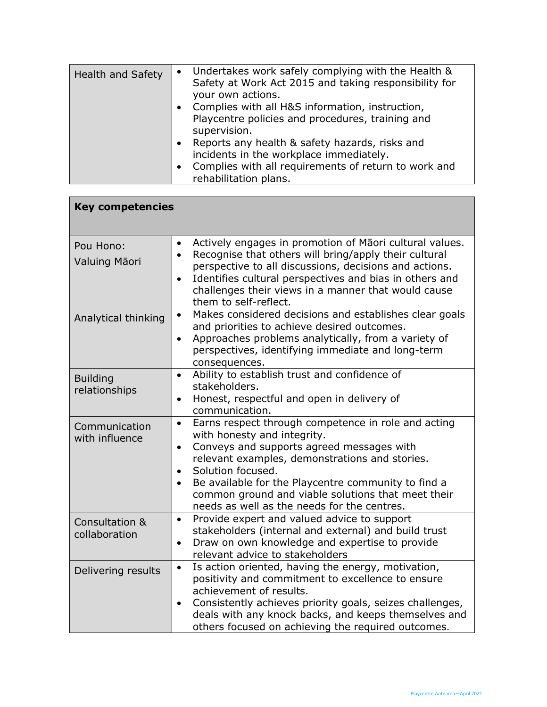| Health and Safety | • Undertakes work safely complying with the Health &<br>Safety at Work Act 2015 and taking responsibility for<br>your own actions.                                                                   |
|-------------------|------------------------------------------------------------------------------------------------------------------------------------------------------------------------------------------------------|
|                   | Complies with all H&S information, instruction,<br>$\bullet$<br>Playcentre policies and procedures, training and<br>supervision.                                                                     |
|                   | Reports any health & safety hazards, risks and<br>$\bullet$<br>incidents in the workplace immediately.<br>Complies with all requirements of return to work and<br>$\bullet$<br>rehabilitation plans. |

| <b>Key competencies</b>          |                                                                                                                                                                                                                                                                                                                                                                                                                        |  |
|----------------------------------|------------------------------------------------------------------------------------------------------------------------------------------------------------------------------------------------------------------------------------------------------------------------------------------------------------------------------------------------------------------------------------------------------------------------|--|
| Pou Hono:<br>Valuing Māori       | Actively engages in promotion of Māori cultural values.<br>$\bullet$<br>Recognise that others will bring/apply their cultural<br>$\bullet$<br>perspective to all discussions, decisions and actions.<br>Identifies cultural perspectives and bias in others and<br>$\bullet$<br>challenges their views in a manner that would cause<br>them to self-reflect.                                                           |  |
| Analytical thinking              | Makes considered decisions and establishes clear goals<br>$\bullet$<br>and priorities to achieve desired outcomes.<br>Approaches problems analytically, from a variety of<br>$\bullet$<br>perspectives, identifying immediate and long-term<br>consequences.                                                                                                                                                           |  |
| <b>Building</b><br>relationships | Ability to establish trust and confidence of<br>$\bullet$<br>stakeholders.<br>Honest, respectful and open in delivery of<br>$\bullet$<br>communication.                                                                                                                                                                                                                                                                |  |
| Communication<br>with influence  | Earns respect through competence in role and acting<br>$\bullet$<br>with honesty and integrity.<br>Conveys and supports agreed messages with<br>$\bullet$<br>relevant examples, demonstrations and stories.<br>Solution focused.<br>$\bullet$<br>Be available for the Playcentre community to find a<br>$\bullet$<br>common ground and viable solutions that meet their<br>needs as well as the needs for the centres. |  |
| Consultation &<br>collaboration  | Provide expert and valued advice to support<br>$\bullet$<br>stakeholders (internal and external) and build trust<br>Draw on own knowledge and expertise to provide<br>$\bullet$<br>relevant advice to stakeholders                                                                                                                                                                                                     |  |
| Delivering results               | Is action oriented, having the energy, motivation,<br>$\bullet$<br>positivity and commitment to excellence to ensure<br>achievement of results.<br>Consistently achieves priority goals, seizes challenges,<br>$\bullet$<br>deals with any knock backs, and keeps themselves and<br>others focused on achieving the required outcomes.                                                                                 |  |